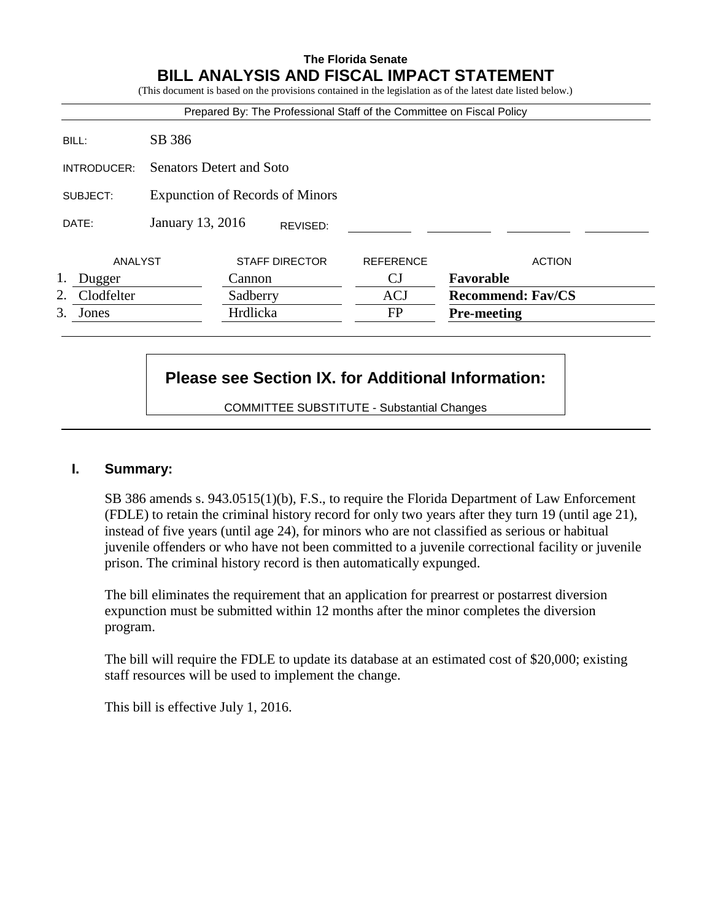#### **The Florida Senate BILL ANALYSIS AND FISCAL IMPACT STATEMENT**  $\alpha$  on the provisions contained in the legislation as of the latest date listed below.)

|             |            |                                 |          |                  | Prepared By: The Professional Staff of the Committee on Fiscal Policy |                          |
|-------------|------------|---------------------------------|----------|------------------|-----------------------------------------------------------------------|--------------------------|
|             | BILL:      | SB 386                          |          |                  |                                                                       |                          |
| INTRODUCER: |            | <b>Senators Detert and Soto</b> |          |                  |                                                                       |                          |
| SUBJECT:    |            | Expunction of Records of Minors |          |                  |                                                                       |                          |
|             | DATE:      | January 13, 2016                |          | REVISED:         |                                                                       |                          |
| ANALYST     |            | <b>STAFF DIRECTOR</b>           |          | <b>REFERENCE</b> | <b>ACTION</b>                                                         |                          |
|             | Dugger     |                                 | Cannon   |                  | CJ                                                                    | Favorable                |
| 2.          | Clodfelter |                                 | Sadberry |                  | <b>ACJ</b>                                                            | <b>Recommend: Fav/CS</b> |
|             | 3. Jones   |                                 | Hrdlicka |                  | FP                                                                    | <b>Pre-meeting</b>       |

# **Please see Section IX. for Additional Information:**

COMMITTEE SUBSTITUTE - Substantial Changes

# **I. Summary:**

SB 386 amends s. 943.0515(1)(b), F.S., to require the Florida Department of Law Enforcement (FDLE) to retain the criminal history record for only two years after they turn 19 (until age 21), instead of five years (until age 24), for minors who are not classified as serious or habitual juvenile offenders or who have not been committed to a juvenile correctional facility or juvenile prison. The criminal history record is then automatically expunged.

The bill eliminates the requirement that an application for prearrest or postarrest diversion expunction must be submitted within 12 months after the minor completes the diversion program.

The bill will require the FDLE to update its database at an estimated cost of \$20,000; existing staff resources will be used to implement the change.

This bill is effective July 1, 2016.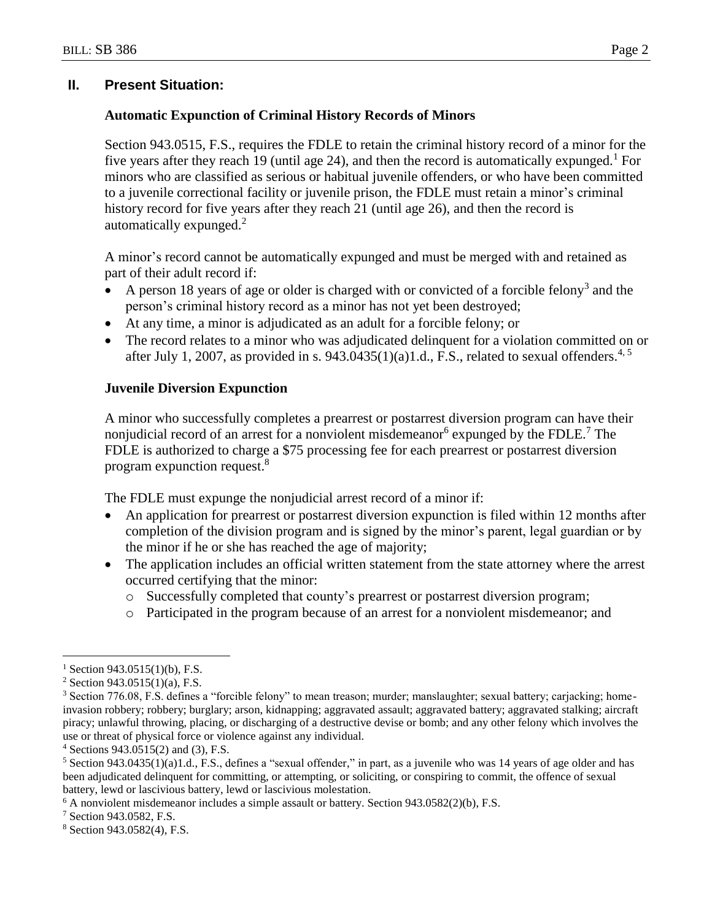# **II. Present Situation:**

## **Automatic Expunction of Criminal History Records of Minors**

Section 943.0515, F.S., requires the FDLE to retain the criminal history record of a minor for the five years after they reach 19 (until age 24), and then the record is automatically expunged.<sup>1</sup> For minors who are classified as serious or habitual juvenile offenders, or who have been committed to a juvenile correctional facility or juvenile prison, the FDLE must retain a minor's criminal history record for five years after they reach 21 (until age 26), and then the record is automatically expunged.<sup>2</sup>

A minor's record cannot be automatically expunged and must be merged with and retained as part of their adult record if:

- A person 18 years of age or older is charged with or convicted of a forcible felony<sup>3</sup> and the person's criminal history record as a minor has not yet been destroyed;
- At any time, a minor is adjudicated as an adult for a forcible felony; or
- The record relates to a minor who was adjudicated delinquent for a violation committed on or after July 1, 2007, as provided in s. 943.0435(1)(a)1.d., F.S., related to sexual offenders.<sup>4, 5</sup>

#### **Juvenile Diversion Expunction**

A minor who successfully completes a prearrest or postarrest diversion program can have their nonjudicial record of an arrest for a nonviolent misdemeanor  $6$  expunged by the FDLE.<sup>7</sup> The FDLE is authorized to charge a \$75 processing fee for each prearrest or postarrest diversion program expunction request.<sup>8</sup>

The FDLE must expunge the nonjudicial arrest record of a minor if:

- An application for prearrest or postarrest diversion expunction is filed within 12 months after completion of the division program and is signed by the minor's parent, legal guardian or by the minor if he or she has reached the age of majority;
- The application includes an official written statement from the state attorney where the arrest occurred certifying that the minor:
	- o Successfully completed that county's prearrest or postarrest diversion program;
	- o Participated in the program because of an arrest for a nonviolent misdemeanor; and

 $\overline{a}$ 

 $1$  Section 943.0515(1)(b), F.S.

 $2$  Section 943.0515(1)(a), F.S.

<sup>3</sup> Section 776.08, F.S. defines a "forcible felony" to mean treason; murder; manslaughter; sexual battery; carjacking; homeinvasion robbery; robbery; burglary; arson, kidnapping; aggravated assault; aggravated battery; aggravated stalking; aircraft piracy; unlawful throwing, placing, or discharging of a destructive devise or bomb; and any other felony which involves the use or threat of physical force or violence against any individual.

 $4$  Sections 943.0515(2) and (3), F.S.

 $5$  Section 943.0435(1)(a)1.d., F.S., defines a "sexual offender," in part, as a juvenile who was 14 years of age older and has been adjudicated delinquent for committing, or attempting, or soliciting, or conspiring to commit, the offence of sexual battery, lewd or lascivious battery, lewd or lascivious molestation.

 $6$  A nonviolent misdemeanor includes a simple assault or battery. Section 943.0582(2)(b), F.S.

<sup>7</sup> Section 943.0582, F.S.

<sup>8</sup> Section 943.0582(4), F.S.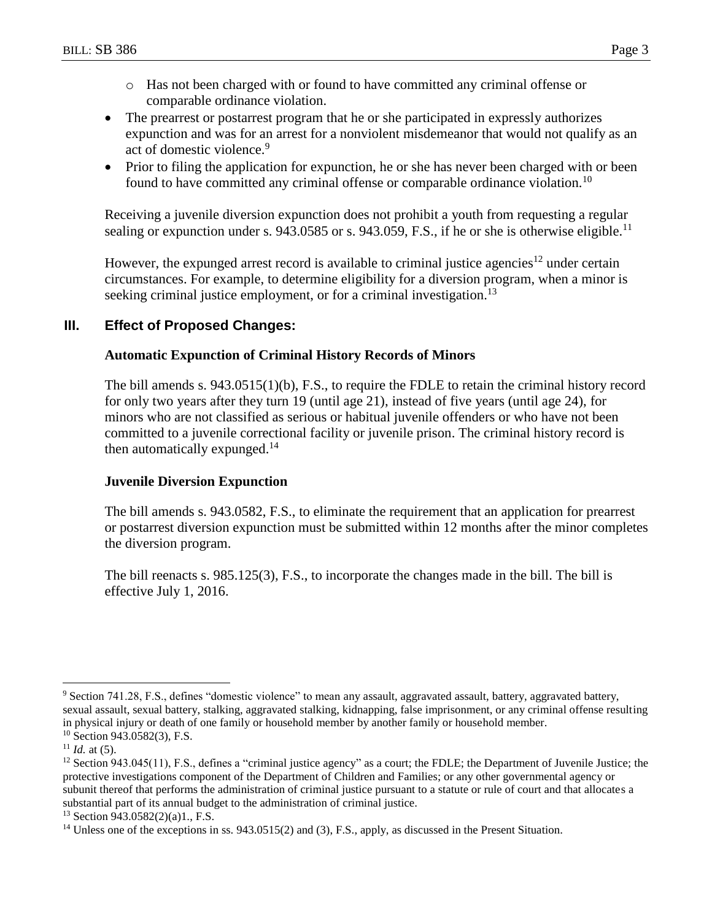- o Has not been charged with or found to have committed any criminal offense or comparable ordinance violation.
- The prearrest or postarrest program that he or she participated in expressly authorizes expunction and was for an arrest for a nonviolent misdemeanor that would not qualify as an act of domestic violence.<sup>9</sup>
- Prior to filing the application for expunction, he or she has never been charged with or been found to have committed any criminal offense or comparable ordinance violation.<sup>10</sup>

Receiving a juvenile diversion expunction does not prohibit a youth from requesting a regular sealing or expunction under s. 943.0585 or s. 943.059, F.S., if he or she is otherwise eligible.<sup>11</sup>

However, the expunged arrest record is available to criminal justice agencies<sup>12</sup> under certain circumstances. For example, to determine eligibility for a diversion program, when a minor is seeking criminal justice employment, or for a criminal investigation.<sup>13</sup>

# **III. Effect of Proposed Changes:**

# **Automatic Expunction of Criminal History Records of Minors**

The bill amends s. 943.0515(1)(b), F.S., to require the FDLE to retain the criminal history record for only two years after they turn 19 (until age 21), instead of five years (until age 24), for minors who are not classified as serious or habitual juvenile offenders or who have not been committed to a juvenile correctional facility or juvenile prison. The criminal history record is then automatically expunged.<sup>14</sup>

# **Juvenile Diversion Expunction**

The bill amends s. 943.0582, F.S., to eliminate the requirement that an application for prearrest or postarrest diversion expunction must be submitted within 12 months after the minor completes the diversion program.

The bill reenacts s. 985.125(3), F.S., to incorporate the changes made in the bill. The bill is effective July 1, 2016.

 $\overline{a}$ <sup>9</sup> Section 741.28, F.S., defines "domestic violence" to mean any assault, aggravated assault, battery, aggravated battery, sexual assault, sexual battery, stalking, aggravated stalking, kidnapping, false imprisonment, or any criminal offense resulting in physical injury or death of one family or household member by another family or household member. <sup>10</sup> Section 943.0582(3), F.S.

 $11$  *Id.* at (5).

 $12$  Section 943.045(11), F.S., defines a "criminal justice agency" as a court; the FDLE; the Department of Juvenile Justice; the protective investigations component of the Department of Children and Families; or any other governmental agency or subunit thereof that performs the administration of criminal justice pursuant to a statute or rule of court and that allocates a substantial part of its annual budget to the administration of criminal justice.

<sup>13</sup> Section 943.0582(2)(a)1., F.S.

<sup>&</sup>lt;sup>14</sup> Unless one of the exceptions in ss. 943.0515(2) and (3), F.S., apply, as discussed in the Present Situation.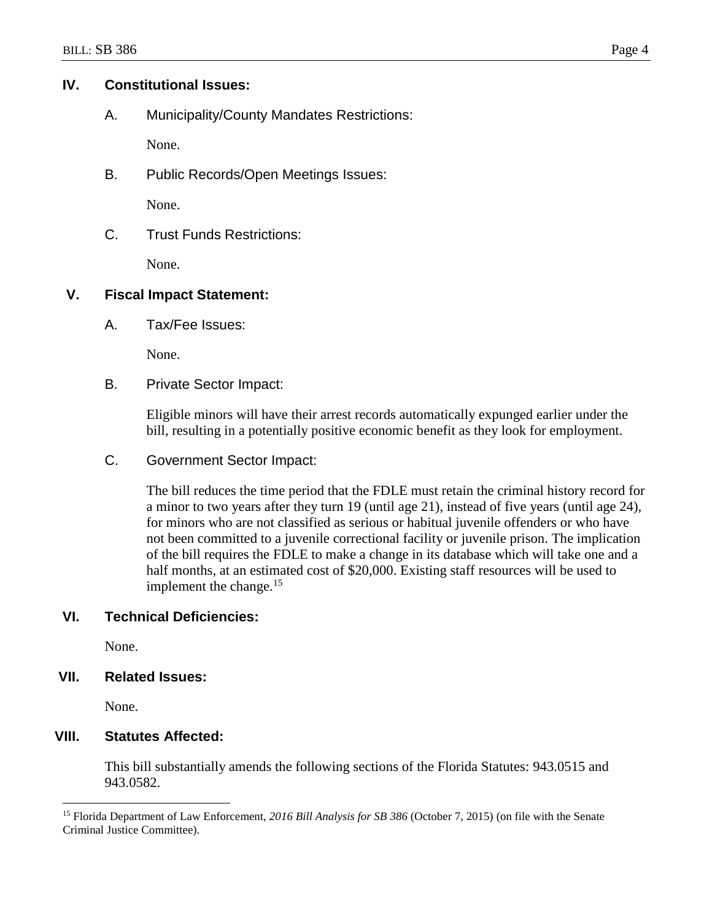## **IV. Constitutional Issues:**

A. Municipality/County Mandates Restrictions:

None.

B. Public Records/Open Meetings Issues:

None.

C. Trust Funds Restrictions:

None.

## **V. Fiscal Impact Statement:**

A. Tax/Fee Issues:

None.

B. Private Sector Impact:

Eligible minors will have their arrest records automatically expunged earlier under the bill, resulting in a potentially positive economic benefit as they look for employment.

C. Government Sector Impact:

The bill reduces the time period that the FDLE must retain the criminal history record for a minor to two years after they turn 19 (until age 21), instead of five years (until age 24), for minors who are not classified as serious or habitual juvenile offenders or who have not been committed to a juvenile correctional facility or juvenile prison. The implication of the bill requires the FDLE to make a change in its database which will take one and a half months, at an estimated cost of \$20,000. Existing staff resources will be used to implement the change. $15$ 

# **VI. Technical Deficiencies:**

None.

#### **VII. Related Issues:**

None.

 $\overline{a}$ 

# **VIII. Statutes Affected:**

This bill substantially amends the following sections of the Florida Statutes: 943.0515 and 943.0582.

<sup>15</sup> Florida Department of Law Enforcement, *2016 Bill Analysis for SB 386* (October 7, 2015) (on file with the Senate Criminal Justice Committee).